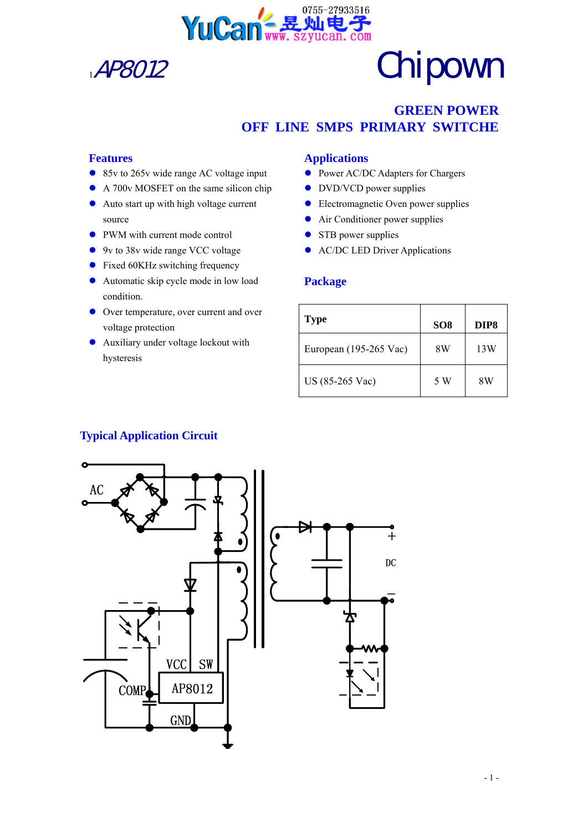

## **GREEN POWER OFF LINE SMPS PRIMARY SWITCHE**

### **Features**

- $\bullet$  85v to 265v wide range AC voltage input
- A 700v MOSFET on the same silicon chip
- $\bullet$  Auto start up with high voltage current source
- PWM with current mode control
- $\bullet$  9v to 38v wide range VCC voltage
- $\bullet$  Fixed 60KHz switching frequency
- Automatic skip cycle mode in low load condition.
- Over temperature, over current and over voltage protection
- $\bullet$  Auxiliary under voltage lockout with hysteresis

### **Applications**

- Power AC/DC Adapters for Chargers
- DVD/VCD power supplies
- Electromagnetic Oven power supplies
- **•** Air Conditioner power supplies
- $\bullet$  STB power supplies
- AC/DC LED Driver Applications

### **Package**

| <b>Type</b>            | SO <sub>8</sub> | DIP8 |
|------------------------|-----------------|------|
| European (195-265 Vac) | 8W              | 13W  |
| US (85-265 Vac)        | 5 W             | 8W   |

### **Typical Application Circuit**

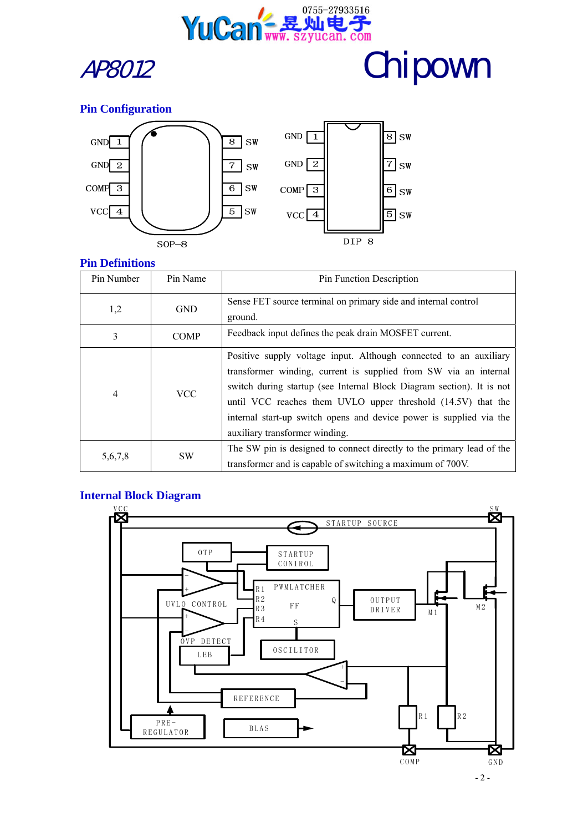



### **Pin Configuration**





### **Pin Definitions**

| Pin Number | Pin Name    | Pin Function Description                                                                                                                                                                                                                                                                                                                                                                |  |  |
|------------|-------------|-----------------------------------------------------------------------------------------------------------------------------------------------------------------------------------------------------------------------------------------------------------------------------------------------------------------------------------------------------------------------------------------|--|--|
| 1,2        | <b>GND</b>  | Sense FET source terminal on primary side and internal control<br>ground.                                                                                                                                                                                                                                                                                                               |  |  |
| 3          | <b>COMP</b> | Feedback input defines the peak drain MOSFET current.                                                                                                                                                                                                                                                                                                                                   |  |  |
| 4          | <b>VCC</b>  | Positive supply voltage input. Although connected to an auxiliary<br>transformer winding, current is supplied from SW via an internal<br>switch during startup (see Internal Block Diagram section). It is not<br>until VCC reaches them UVLO upper threshold (14.5V) that the<br>internal start-up switch opens and device power is supplied via the<br>auxiliary transformer winding. |  |  |
| 5,6,7,8    | <b>SW</b>   | The SW pin is designed to connect directly to the primary lead of the<br>transformer and is capable of switching a maximum of 700V.                                                                                                                                                                                                                                                     |  |  |

### **Internal Block Diagram**

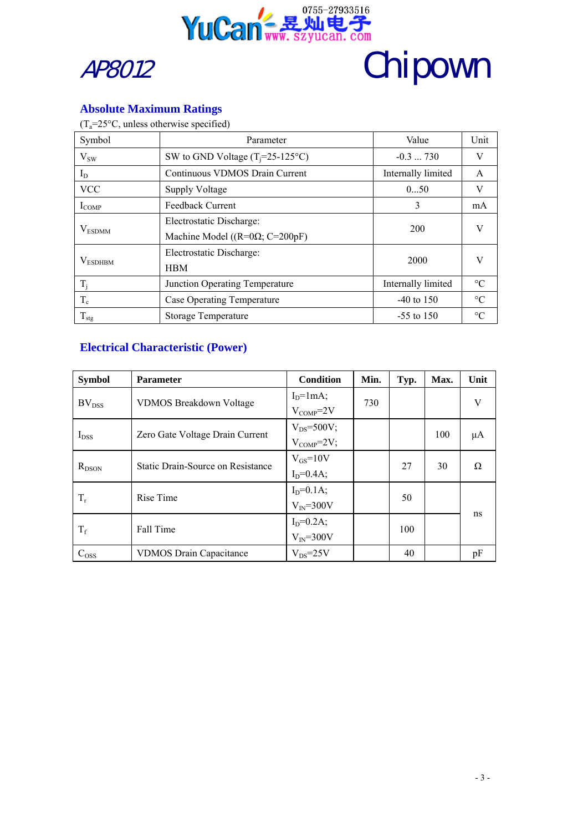



### **Absolute Maximum Ratings**

 $(T_a=25\text{°C},$  unless otherwise specified)

| Symbol            | Parameter                                 | Value              | Unit            |  |
|-------------------|-------------------------------------------|--------------------|-----------------|--|
| $V_{SW}$          | SW to GND Voltage $(T_i=25-125^{\circ}C)$ | $-0.3730$          | V               |  |
| $I_D$             | Continuous VDMOS Drain Current            | Internally limited | $\mathsf{A}$    |  |
| <b>VCC</b>        | Supply Voltage                            | 050                | V               |  |
| $I_{COMP}$        | <b>Feedback Current</b>                   | 3                  | mA              |  |
|                   | Electrostatic Discharge:                  | 200                | V               |  |
| $V_{ESDMM}$       | Machine Model ( $(R=0\Omega; C=200pF)$ )  |                    |                 |  |
|                   | Electrostatic Discharge:                  | 2000               | V               |  |
| $V_{ESDHBM}$      | <b>HBM</b>                                |                    |                 |  |
| $T_i$             | Junction Operating Temperature            | Internally limited | $\rm ^{\circ}C$ |  |
| $T_c$             | Case Operating Temperature                | $-40$ to 150       | $\rm ^{\circ}C$ |  |
| $\rm T_{\rm stg}$ | Storage Temperature                       | $-55$ to 150       | $\rm ^{\circ}C$ |  |

### **Electrical Characteristic (Power)**

| <b>Symbol</b>     | <b>Parameter</b>                  | Condition         | Min. | Typ. | Max. | Unit |
|-------------------|-----------------------------------|-------------------|------|------|------|------|
| BV <sub>DSS</sub> | <b>VDMOS Breakdown Voltage</b>    | $ID=1mA;$         | 730  |      |      | V    |
|                   |                                   | $V_{COMP} = 2V$   |      |      |      |      |
|                   | Zero Gate Voltage Drain Current   | $V_{DS} = 500V$ ; |      |      | 100  | μA   |
| $I_{DSS}$         |                                   | $V_{COMP} = 2V$ ; |      |      |      |      |
| $R_{DSON}$        | Static Drain-Source on Resistance | $V_{GS}$ =10V     |      | 27   | 30   | Ω    |
|                   |                                   | $I_D = 0.4A$ ;    |      |      |      |      |
| $T_r$             | Rise Time                         | $I_D = 0.1A$ ;    |      | 50   |      | ns   |
|                   |                                   | $V_{IN} = 300V$   |      |      |      |      |
| $T_f$             | Fall Time                         | $I_D = 0.2A$ ;    |      | 100  |      |      |
|                   |                                   | $V_{IN} = 300V$   |      |      |      |      |
| $C_{OSS}$         | <b>VDMOS Drain Capacitance</b>    | $V_{DS} = 25V$    |      | 40   |      | pF   |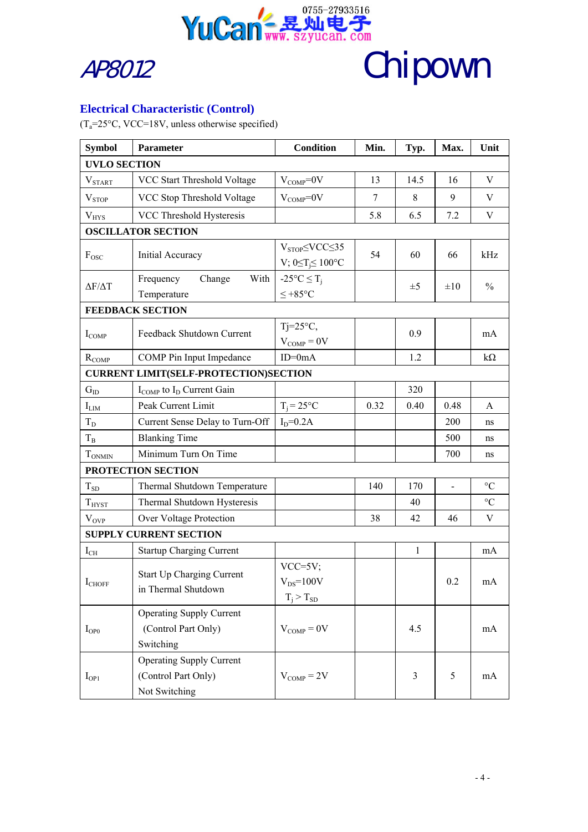



### **Electrical Characteristic (Control)**

 $(T_a=25\degree C, \text{VCC}=18V, \text{unless otherwise specified})$ 

| <b>Symbol</b>                                | Parameter                                                               | <b>Condition</b>                                              | Min. | Typ.         | Max.           | Unit            |  |
|----------------------------------------------|-------------------------------------------------------------------------|---------------------------------------------------------------|------|--------------|----------------|-----------------|--|
| <b>UVLO SECTION</b>                          |                                                                         |                                                               |      |              |                |                 |  |
| V <sub>START</sub>                           | VCC Start Threshold Voltage                                             | $V_{COMP} = 0V$                                               | 13   | 14.5         | 16             | V               |  |
| V <sub>STOP</sub>                            | VCC Stop Threshold Voltage                                              | $V_{COMP} = 0V$                                               | 7    | 8            | 9              | V               |  |
| $V_{HYS}$                                    | VCC Threshold Hysteresis                                                |                                                               | 5.8  | 6.5          | 7.2            | V               |  |
|                                              | <b>OSCILLATOR SECTION</b>                                               |                                                               |      |              |                |                 |  |
| $F_{\rm{OSC}}$                               | Initial Accuracy                                                        | $V_{STOP}\leq VCC \leq 35$<br>V; $0 \le T_j \le 100^{\circ}C$ | 54   | 60           | 66             | kHz             |  |
| $\Delta F/\Delta T$                          | Frequency<br>Change<br>With<br>Temperature                              | $-25^{\circ}C \leq T_i$<br>$≤ +85$ °C                         |      | $\pm 5$      | $\pm 10$       | $\frac{0}{0}$   |  |
|                                              | <b>FEEDBACK SECTION</b>                                                 |                                                               |      |              |                |                 |  |
| $I_{COMP}$                                   | Feedback Shutdown Current                                               | $Tj = 25^{\circ}C$ ,<br>$V_{COMP}=0V$                         |      | 0.9          |                | mA              |  |
| $R_{COMP}$                                   | COMP Pin Input Impedance                                                | $ID=0mA$                                                      |      | 1.2          |                | $k\Omega$       |  |
| <b>CURRENT LIMIT(SELF-PROTECTION)SECTION</b> |                                                                         |                                                               |      |              |                |                 |  |
| $G_{ID}$                                     | $I_{COMP}$ to $I_D$ Current Gain                                        |                                                               |      | 320          |                |                 |  |
| $I_{LIM}$                                    | Peak Current Limit                                                      | $T_i = 25^{\circ}C$                                           | 0.32 | 0.40         | 0.48           | A               |  |
| $T_D$                                        | Current Sense Delay to Turn-Off                                         | $I_D = 0.2A$                                                  |      |              | 200            | ns              |  |
| $T_B$                                        | <b>Blanking Time</b>                                                    |                                                               |      |              | 500            | ns              |  |
| $T_{ONMIN}$                                  | Minimum Turn On Time                                                    |                                                               |      |              | 700            | ns              |  |
|                                              | PROTECTION SECTION                                                      |                                                               |      |              |                |                 |  |
| $T_{SD}$                                     | Thermal Shutdown Temperature                                            |                                                               | 140  | 170          | $\overline{a}$ | $\rm ^{\circ}C$ |  |
| $T_{H YST}$                                  | Thermal Shutdown Hysteresis                                             |                                                               |      | 40           |                | $\rm ^{\circ}C$ |  |
| $V_{OVP}$                                    | Over Voltage Protection                                                 |                                                               | 38   | 42           | 46             | $\mathbf V$     |  |
|                                              | <b>SUPPLY CURRENT SECTION</b>                                           |                                                               |      |              |                |                 |  |
| $I_{CH}$                                     | <b>Startup Charging Current</b>                                         |                                                               |      | $\mathbf{1}$ |                | mA              |  |
| $I_{CHOFF}$                                  | Start Up Charging Current<br>in Thermal Shutdown                        | $VCC=5V$ ;<br>$V_{DS} = 100V$<br>$T_j > T_{SD}$               |      |              | 0.2            | mA              |  |
| $I_{OP0}$                                    | <b>Operating Supply Current</b><br>(Control Part Only)<br>Switching     | $V_{COMP}=0V$                                                 |      | 4.5          |                | mA              |  |
| $I_{OP1}$                                    | <b>Operating Supply Current</b><br>(Control Part Only)<br>Not Switching | $V_{COMP}=2V$                                                 |      | 3            | 5              | mA              |  |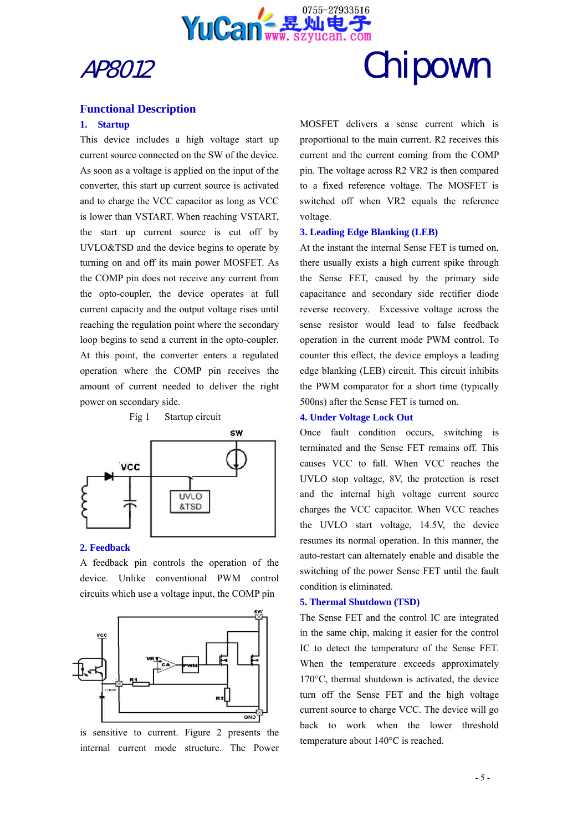



### **Functional Description**

#### **1. Startup**

This device includes a high voltage start up current source connected on the SW of the device. As soon as a voltage is applied on the input of the converter, this start up current source is activated and to charge the VCC capacitor as long as VCC is lower than VSTART. When reaching VSTART, the start up current source is cut off by UVLO&TSD and the device begins to operate by turning on and off its main power MOSFET. As the COMP pin does not receive any current from the opto-coupler, the device operates at full current capacity and the output voltage rises until reaching the regulation point where the secondary loop begins to send a current in the opto-coupler. At this point, the converter enters a regulated operation where the COMP pin receives the amount of current needed to deliver the right power on secondary side.



#### **2. Feedback**

A feedback pin controls the operation of the device. Unlike conventional PWM control circuits which use a voltage input, the COMP pin



is sensitive to current. Figure 2 presents the internal current mode structure. The Power

MOSFET delivers a sense current which is proportional to the main current. R2 receives this current and the current coming from the COMP pin. The voltage across R2 VR2 is then compared to a fixed reference voltage. The MOSFET is switched off when VR2 equals the reference voltage.

#### **3. Leading Edge Blanking (LEB)**

At the instant the internal Sense FET is turned on, there usually exists a high current spike through the Sense FET, caused by the primary side capacitance and secondary side rectifier diode reverse recovery. Excessive voltage across the sense resistor would lead to false feedback operation in the current mode PWM control. To counter this effect, the device employs a leading edge blanking (LEB) circuit. This circuit inhibits the PWM comparator for a short time (typically 500ns) after the Sense FET is turned on.

#### **4. Under Voltage Lock Out**

Once fault condition occurs, switching is terminated and the Sense FET remains off. This causes VCC to fall. When VCC reaches the UVLO stop voltage, 8V, the protection is reset and the internal high voltage current source charges the VCC capacitor. When VCC reaches the UVLO start voltage, 14.5V, the device resumes its normal operation. In this manner, the auto-restart can alternately enable and disable the switching of the power Sense FET until the fault condition is eliminated.

#### **5. Thermal Shutdown (TSD)**

The Sense FET and the control IC are integrated in the same chip, making it easier for the control IC to detect the temperature of the Sense FET. When the temperature exceeds approximately 170°C, thermal shutdown is activated, the device turn off the Sense FET and the high voltage current source to charge VCC. The device will go back to work when the lower threshold temperature about 140°C is reached.